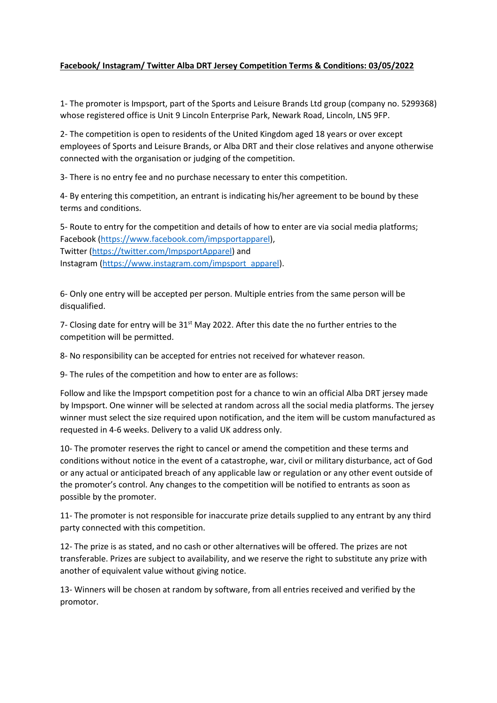## **Facebook/ Instagram/ Twitter Alba DRT Jersey Competition Terms & Conditions: 03/05/2022**

1- The promoter is Impsport, part of the Sports and Leisure Brands Ltd group (company no. 5299368) whose registered office is Unit 9 Lincoln Enterprise Park, Newark Road, Lincoln, LN5 9FP.

2- The competition is open to residents of the United Kingdom aged 18 years or over except employees of Sports and Leisure Brands, or Alba DRT and their close relatives and anyone otherwise connected with the organisation or judging of the competition.

3- There is no entry fee and no purchase necessary to enter this competition.

4- By entering this competition, an entrant is indicating his/her agreement to be bound by these terms and conditions.

5- Route to entry for the competition and details of how to enter are via social media platforms; Facebook [\(https://www.facebook.com/impsportapparel\)](https://www.facebook.com/impsportapparel), Twitter [\(https://twitter.com/ImpsportApparel\)](https://twitter.com/ImpsportApparel) and Instagram [\(https://www.instagram.com/impsport\\_apparel\)](https://www.instagram.com/impsport_apparel).

6- Only one entry will be accepted per person. Multiple entries from the same person will be disqualified.

7- Closing date for entry will be 31<sup>st</sup> May 2022. After this date the no further entries to the competition will be permitted.

8- No responsibility can be accepted for entries not received for whatever reason.

9- The rules of the competition and how to enter are as follows:

Follow and like the Impsport competition post for a chance to win an official Alba DRT jersey made by Impsport. One winner will be selected at random across all the social media platforms. The jersey winner must select the size required upon notification, and the item will be custom manufactured as requested in 4-6 weeks. Delivery to a valid UK address only.

10- The promoter reserves the right to cancel or amend the competition and these terms and conditions without notice in the event of a catastrophe, war, civil or military disturbance, act of God or any actual or anticipated breach of any applicable law or regulation or any other event outside of the promoter's control. Any changes to the competition will be notified to entrants as soon as possible by the promoter.

11- The promoter is not responsible for inaccurate prize details supplied to any entrant by any third party connected with this competition.

12- The prize is as stated, and no cash or other alternatives will be offered. The prizes are not transferable. Prizes are subject to availability, and we reserve the right to substitute any prize with another of equivalent value without giving notice.

13- Winners will be chosen at random by software, from all entries received and verified by the promotor.